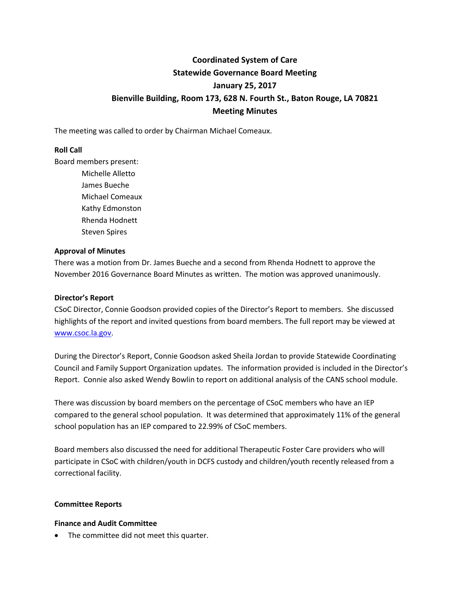### **Coordinated System of Care Statewide Governance Board Meeting January 25, 2017 Bienville Building, Room 173, 628 N. Fourth St., Baton Rouge, LA 70821 Meeting Minutes**

The meeting was called to order by Chairman Michael Comeaux.

#### **Roll Call**

Board members present:

Michelle Alletto James Bueche Michael Comeaux Kathy Edmonston Rhenda Hodnett Steven Spires

#### **Approval of Minutes**

There was a motion from Dr. James Bueche and a second from Rhenda Hodnett to approve the November 2016 Governance Board Minutes as written. The motion was approved unanimously.

#### **Director's Report**

CSoC Director, Connie Goodson provided copies of the Director's Report to members. She discussed highlights of the report and invited questions from board members. The full report may be viewed at [www.csoc.la.gov.](http://www.csoc.la.gov/)

During the Director's Report, Connie Goodson asked Sheila Jordan to provide Statewide Coordinating Council and Family Support Organization updates. The information provided is included in the Director's Report. Connie also asked Wendy Bowlin to report on additional analysis of the CANS school module.

There was discussion by board members on the percentage of CSoC members who have an IEP compared to the general school population. It was determined that approximately 11% of the general school population has an IEP compared to 22.99% of CSoC members.

Board members also discussed the need for additional Therapeutic Foster Care providers who will participate in CSoC with children/youth in DCFS custody and children/youth recently released from a correctional facility.

#### **Committee Reports**

#### **Finance and Audit Committee**

• The committee did not meet this quarter.